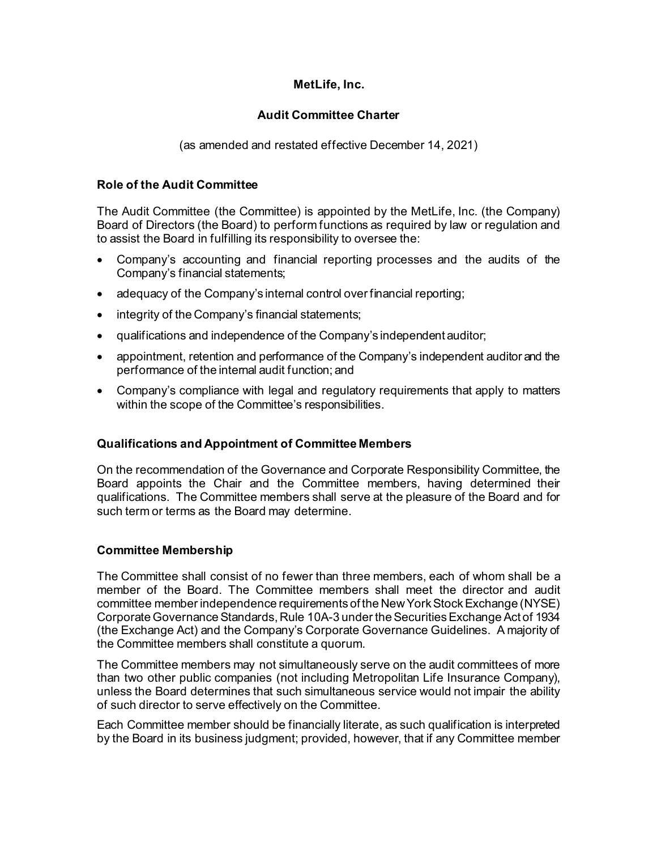# **MetLife, Inc.**

# **Audit Committee Charter**

(as amended and restated effective December 14, 2021)

# **Role of the Audit Committee**

The Audit Committee (the Committee) is appointed by the MetLife, Inc. (the Company) Board of Directors (the Board) to perform functions as required by law or regulation and to assist the Board in fulfilling its responsibility to oversee the:

- Company's accounting and financial reporting processes and the audits of the Company's financial statements;
- adequacy of the Company's internal control over financial reporting;
- integrity of the Company's financial statements;
- qualifications and independence of the Company's independent auditor;
- appointment, retention and performance of the Company's independent auditor and the performance of the internal audit function; and
- Company's compliance with legal and regulatory requirements that apply to matters within the scope of the Committee's responsibilities.

# **Qualifications and Appointment of Committee Members**

On the recommendation of the Governance and Corporate Responsibility Committee, the Board appoints the Chair and the Committee members, having determined their qualifications. The Committee members shall serve at the pleasure of the Board and for such term or terms as the Board may determine.

# **Committee Membership**

The Committee shall consist of no fewer than three members, each of whom shall be a member of the Board. The Committee members shall meet the director and audit committee member independence requirements of the New York Stock Exchange (NYSE) Corporate Governance Standards, Rule 10A-3 under the Securities Exchange Act of 1934 (the Exchange Act) and the Company's Corporate Governance Guidelines. A majority of the Committee members shall constitute a quorum.

The Committee members may not simultaneously serve on the audit committees of more than two other public companies (not including Metropolitan Life Insurance Company), unless the Board determines that such simultaneous service would not impair the ability of such director to serve effectively on the Committee.

Each Committee member should be financially literate, as such qualification is interpreted by the Board in its business judgment; provided, however, that if any Committee member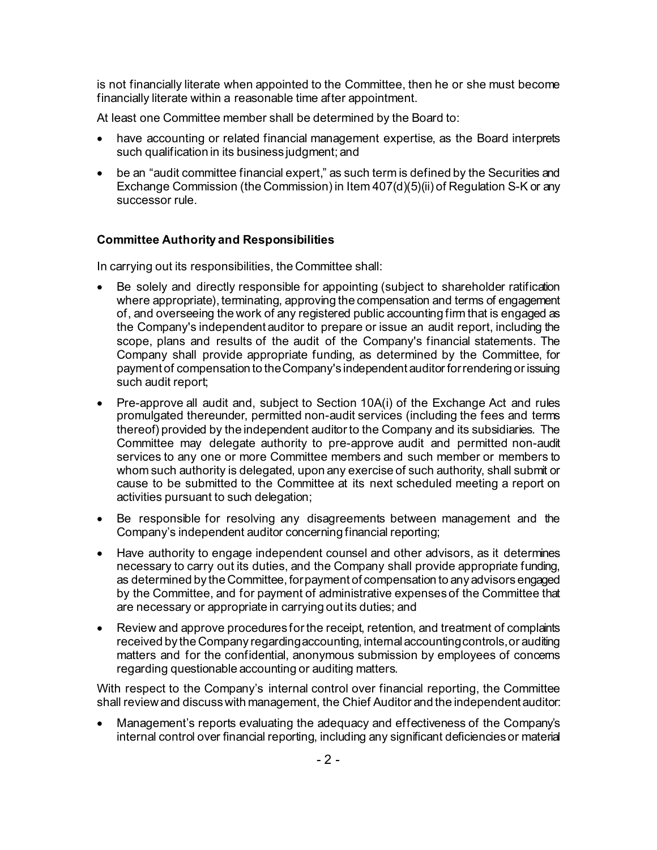is not financially literate when appointed to the Committee, then he or she must become financially literate within a reasonable time after appointment.

At least one Committee member shall be determined by the Board to:

- have accounting or related financial management expertise, as the Board interprets such qualification in its business judgment; and
- be an "audit committee financial expert," as such term is defined by the Securities and Exchange Commission (the Commission) in Item 407(d)(5)(ii) of Regulation S-K or any successor rule.

# **Committee Authority and Responsibilities**

In carrying out its responsibilities, the Committee shall:

- Be solely and directly responsible for appointing (subject to shareholder ratification where appropriate), terminating, approving the compensation and terms of engagement of, and overseeing the work of any registered public accounting firm that is engaged as the Company's independent auditor to prepare or issue an audit report, including the scope, plans and results of the audit of the Company's financial statements. The Company shall provide appropriate funding, as determined by the Committee, for payment of compensation to the Company's independent auditor for rendering or issuing such audit report;
- Pre-approve all audit and, subject to Section 10A(i) of the Exchange Act and rules promulgated thereunder, permitted non-audit services (including the fees and terms thereof) provided by the independent auditor to the Company and its subsidiaries. The Committee may delegate authority to pre-approve audit and permitted non-audit services to any one or more Committee members and such member or members to whom such authority is delegated, upon any exercise of such authority, shall submit or cause to be submitted to the Committee at its next scheduled meeting a report on activities pursuant to such delegation;
- Be responsible for resolving any disagreements between management and the Company's independent auditor concerning financial reporting;
- Have authority to engage independent counsel and other advisors, as it determines necessary to carry out its duties, and the Company shall provide appropriate funding, as determined by the Committee, for payment of compensation to any advisors engaged by the Committee, and for payment of administrative expenses of the Committee that are necessary or appropriate in carrying out its duties; and
- Review and approve procedures for the receipt, retention, and treatment of complaints received by the Company regarding accounting, internal accounting controls, or auditing matters and for the confidential, anonymous submission by employees of concerns regarding questionable accounting or auditing matters.

With respect to the Company's internal control over financial reporting, the Committee shall review and discuss with management, the Chief Auditor and the independent auditor:

• Management's reports evaluating the adequacy and effectiveness of the Company's internal control over financial reporting, including any significant deficiencies or material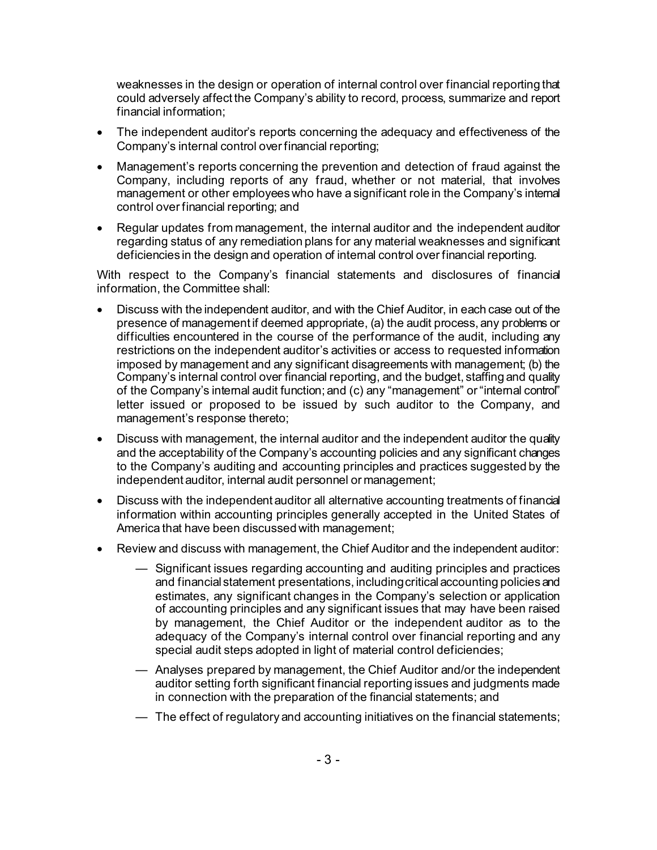weaknesses in the design or operation of internal control over financial reporting that could adversely affect the Company's ability to record, process, summarize and report financial information;

- The independent auditor's reports concerning the adequacy and effectiveness of the Company's internal control over financial reporting;
- Management's reports concerning the prevention and detection of fraud against the Company, including reports of any fraud, whether or not material, that involves management or other employees who have a significant role in the Company's internal control over financial reporting; and
- Regular updates from management, the internal auditor and the independent auditor regarding status of any remediation plans for any material weaknesses and significant deficiencies in the design and operation of internal control over financial reporting.

With respect to the Company's financial statements and disclosures of financial information, the Committee shall:

- Discuss with the independent auditor, and with the Chief Auditor, in each case out of the presence of management if deemed appropriate, (a) the audit process, any problems or difficulties encountered in the course of the performance of the audit, including any restrictions on the independent auditor's activities or access to requested information imposed by management and any significant disagreements with management; (b) the Company's internal control over financial reporting, and the budget, staffing and quality of the Company's internal audit function; and (c) any "management" or "internal control" letter issued or proposed to be issued by such auditor to the Company, and management's response thereto;
- Discuss with management, the internal auditor and the independent auditor the quality and the acceptability of the Company's accounting policies and any significant changes to the Company's auditing and accounting principles and practices suggested by the independent auditor, internal audit personnel or management;
- Discuss with the independent auditor all alternative accounting treatments of financial information within accounting principles generally accepted in the United States of America that have been discussed with management;
- Review and discuss with management, the Chief Auditor and the independent auditor:
	- Significant issues regarding accounting and auditing principles and practices and financial statement presentations, including critical accounting policies and estimates, any significant changes in the Company's selection or application of accounting principles and any significant issues that may have been raised by management, the Chief Auditor or the independent auditor as to the adequacy of the Company's internal control over financial reporting and any special audit steps adopted in light of material control deficiencies;
	- Analyses prepared by management, the Chief Auditor and/or the independent auditor setting forth significant financial reporting issues and judgments made in connection with the preparation of the financial statements; and
	- The effect of regulatory and accounting initiatives on the financial statements;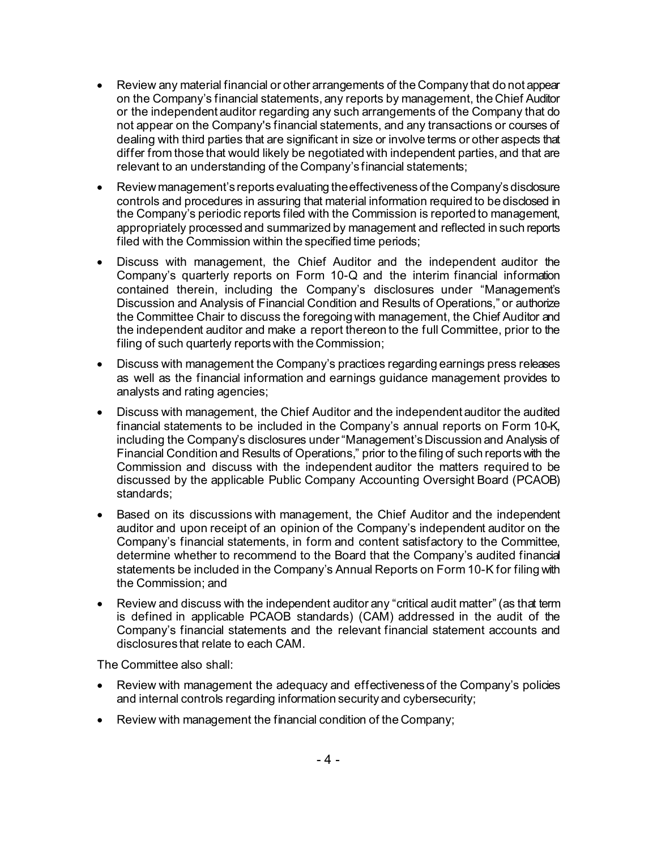- Review any material financial or other arrangements of the Company that do not appear on the Company's financial statements, any reports by management, the Chief Auditor or the independent auditor regarding any such arrangements of the Company that do not appear on the Company's financial statements, and any transactions or courses of dealing with third parties that are significant in size or involve terms or other aspects that differ from those that would likely be negotiated with independent parties, and that are relevant to an understanding of the Company's financial statements;
- Reviewmanagement's reports evaluating the effectiveness of the Company's disclosure controls and procedures in assuring that material information required to be disclosed in the Company's periodic reports filed with the Commission is reported to management, appropriately processed and summarized by management and reflected in such reports filed with the Commission within the specified time periods;
- Discuss with management, the Chief Auditor and the independent auditor the Company's quarterly reports on Form 10-Q and the interim financial information contained therein, including the Company's disclosures under "Management's Discussion and Analysis of Financial Condition and Results of Operations," or authorize the Committee Chair to discuss the foregoing with management, the Chief Auditor and the independent auditor and make a report thereon to the full Committee, prior to the filing of such quarterly reports with the Commission;
- Discuss with management the Company's practices regarding earnings press releases as well as the financial information and earnings guidance management provides to analysts and rating agencies;
- Discuss with management, the Chief Auditor and the independent auditor the audited financial statements to be included in the Company's annual reports on Form 10-K, including the Company's disclosures under "Management's Discussion and Analysis of Financial Condition and Results of Operations," prior to the filing of such reports with the Commission and discuss with the independent auditor the matters required to be discussed by the applicable Public Company Accounting Oversight Board (PCAOB) standards;
- Based on its discussions with management, the Chief Auditor and the independent auditor and upon receipt of an opinion of the Company's independent auditor on the Company's financial statements, in form and content satisfactory to the Committee, determine whether to recommend to the Board that the Company's audited financial statements be included in the Company's Annual Reports on Form 10-K for filing with the Commission; and
- Review and discuss with the independent auditor any "critical audit matter" (as that term is defined in applicable PCAOB standards) (CAM) addressed in the audit of the Company's financial statements and the relevant financial statement accounts and disclosures that relate to each CAM.

The Committee also shall:

- Review with management the adequacy and effectiveness of the Company's policies and internal controls regarding information security and cybersecurity;
- Review with management the financial condition of the Company;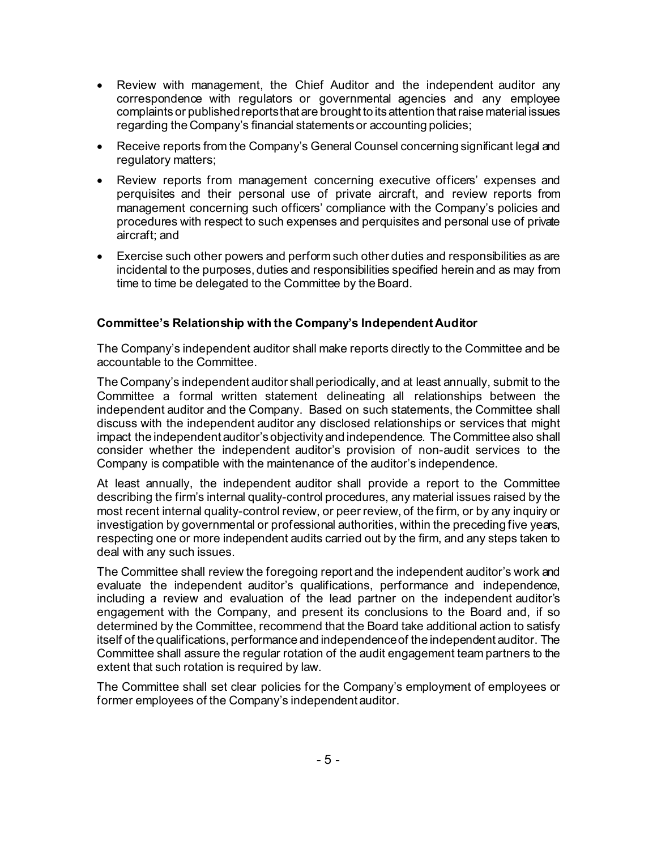- Review with management, the Chief Auditor and the independent auditor any correspondence with regulators or governmental agencies and any employee complaints or published reports that are brought to its attention that raise material issues regarding the Company's financial statements or accounting policies;
- Receive reports from the Company's General Counsel concerning significant legal and regulatory matters;
- Review reports from management concerning executive officers' expenses and perquisites and their personal use of private aircraft, and review reports from management concerning such officers' compliance with the Company's policies and procedures with respect to such expenses and perquisites and personal use of private aircraft; and
- Exercise such other powers and perform such other duties and responsibilities as are incidental to the purposes, duties and responsibilities specified herein and as may from time to time be delegated to the Committee by the Board.

# **Committee's Relationship with the Company's Independent Auditor**

The Company's independent auditor shall make reports directly to the Committee and be accountable to the Committee.

The Company's independent auditor shall periodically, and at least annually, submit to the Committee a formal written statement delineating all relationships between the independent auditor and the Company. Based on such statements, the Committee shall discuss with the independent auditor any disclosed relationships or services that might impact the independent auditor's objectivity and independence. The Committee also shall consider whether the independent auditor's provision of non-audit services to the Company is compatible with the maintenance of the auditor's independence*.*

At least annually, the independent auditor shall provide a report to the Committee describing the firm's internal quality-control procedures, any material issues raised by the most recent internal quality-control review, or peer review, of the firm, or by any inquiry or investigation by governmental or professional authorities, within the preceding five years, respecting one or more independent audits carried out by the firm, and any steps taken to deal with any such issues.

The Committee shall review the foregoing report and the independent auditor's work and evaluate the independent auditor's qualifications, performance and independence, including a review and evaluation of the lead partner on the independent auditor's engagement with the Company, and present its conclusions to the Board and, if so determined by the Committee, recommend that the Board take additional action to satisfy itself of the qualifications, performance and independence of the independent auditor. The Committee shall assure the regular rotation of the audit engagement team partners to the extent that such rotation is required by law.

The Committee shall set clear policies for the Company's employment of employees or former employees of the Company's independent auditor.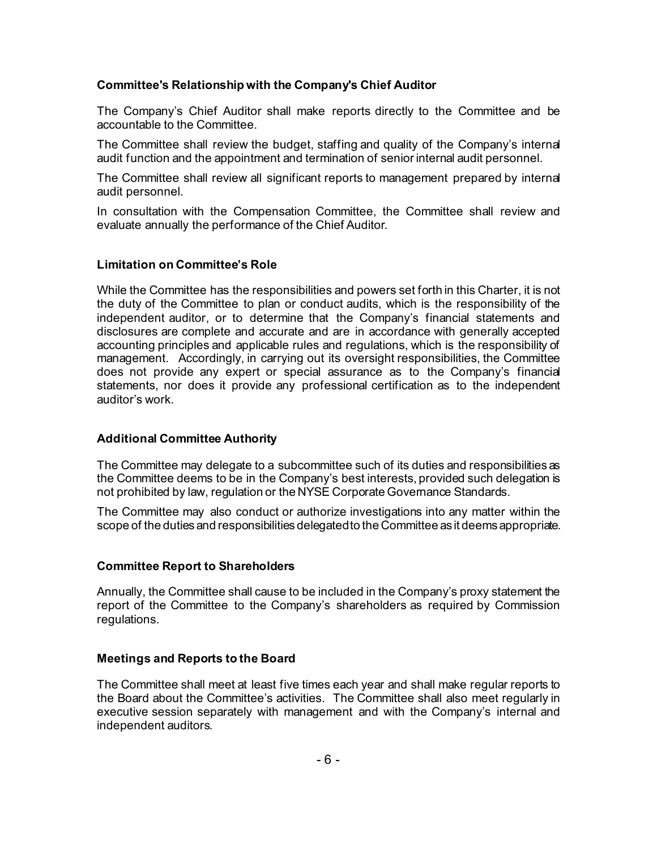### **Committee's Relationship with the Company's Chief Auditor**

The Company's Chief Auditor shall make reports directly to the Committee and be accountable to the Committee.

The Committee shall review the budget, staffing and quality of the Company's internal audit function and the appointment and termination of senior internal audit personnel.

The Committee shall review all significant reports to management prepared by internal audit personnel.

In consultation with the Compensation Committee, the Committee shall review and evaluate annually the performance of the Chief Auditor.

# **Limitation on Committee's Role**

While the Committee has the responsibilities and powers set forth in this Charter, it is not the duty of the Committee to plan or conduct audits, which is the responsibility of the independent auditor, or to determine that the Company's financial statements and disclosures are complete and accurate and are in accordance with generally accepted accounting principles and applicable rules and regulations, which is the responsibility of management. Accordingly, in carrying out its oversight responsibilities, the Committee does not provide any expert or special assurance as to the Company's financial statements, nor does it provide any professional certification as to the independent auditor's work.

# **Additional Committee Authority**

The Committee may delegate to a subcommittee such of its duties and responsibilities as the Committee deems to be in the Company's best interests, provided such delegation is not prohibited by law, regulation or the NYSE Corporate Governance Standards.

The Committee may also conduct or authorize investigations into any matter within the scope of the duties and responsibilities delegated to the Committee as it deems appropriate.

#### **Committee Report to Shareholders**

Annually, the Committee shall cause to be included in the Company's proxy statement the report of the Committee to the Company's shareholders as required by Commission regulations.

# **Meetings and Reports to the Board**

The Committee shall meet at least five times each year and shall make regular reports to the Board about the Committee's activities. The Committee shall also meet regularly in executive session separately with management and with the Company's internal and independent auditors.